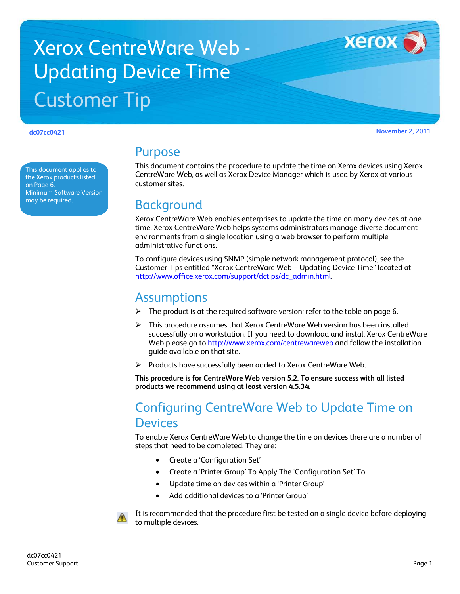# Xerox CentreWare Web - Updating Device Time Customer Tip

**dc07cc0421 November 2, 2011**

**Xerox** 

This document applies to the Xerox products listed on Page 6. Minimum Software Version may be required.

# Purpose

This document contains the procedure to update the time on Xerox devices using Xerox CentreWare Web, as well as Xerox Device Manager which is used by Xerox at various customer sites.

# **Background**

Xerox CentreWare Web enables enterprises to update the time on many devices at one time. Xerox CentreWare Web helps systems administrators manage diverse document environments from a single location using a web browser to perform multiple administrative functions.

To configure devices using SNMP (simple network management protocol), see the Customer Tips entitled "Xerox CentreWare Web – Updating Device Time" located at [http://www.office.xerox.com/support/dctips/dc\\_admin.html.](http://www.office.xerox.com/support/dctips/dc_admin.html)

# **Assumptions**

- $\triangleright$  The product is at the required software version; refer to the table on page 6.
- This procedure assumes that Xerox CentreWare Web version has been installed successfully on a workstation. If you need to download and install Xerox CentreWare Web please go to<http://www.xerox.com/centrewareweb> and follow the installation guide available on that site.
- $\triangleright$  Products have successfully been added to Xerox CentreWare Web.

**This procedure is for CentreWare Web version 5.2. To ensure success with all listed products we recommend using at least version 4.5.34.**

# Configuring CentreWare Web to Update Time on **Devices**

To enable Xerox CentreWare Web to change the time on devices there are a number of steps that need to be completed. They are:

- Create a 'Configuration Set'
- Create a 'Printer Group' To Apply The 'Configuration Set' To
- Update time on devices within a 'Printer Group'
- Add additional devices to a 'Printer Group'



It is recommended that the procedure first be tested on a single device before deploying to multiple devices.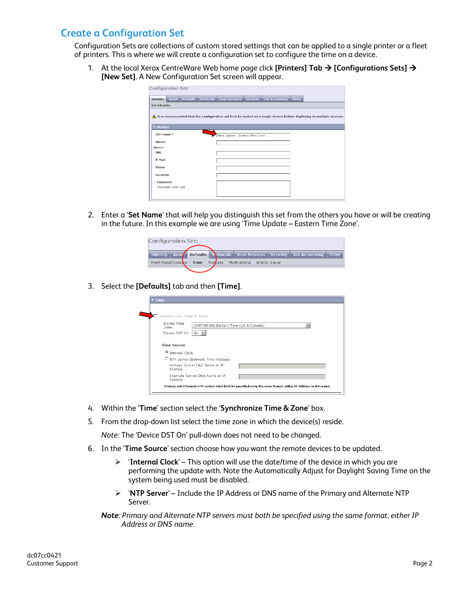#### **Create a Configuration Set**

Configuration Sets are collections of custom stored settings that can be applied to a single printer or a fleet of printers. This is where we will create a configuration set to configure the time on a device.

1. At the local Xerox CentreWare Web home page click **[Printers] Tab [Configurations Sets] [New Set]**. A New Configuration Set screen will appear.

| <b>Configuration Set:</b> |                                        |                                 |                 |                       |       |                                                                                                                         |  |
|---------------------------|----------------------------------------|---------------------------------|-----------------|-----------------------|-------|-------------------------------------------------------------------------------------------------------------------------|--|
| Identity                  | Asset Defaults Protocols Scan Services |                                 | <b>Security</b> | <b>Job Accounting</b> | Other |                                                                                                                         |  |
| Set Identity              |                                        |                                 |                 |                       |       |                                                                                                                         |  |
|                           |                                        |                                 |                 |                       |       | A It is recommended that the configuration set first be tested on a single device before deploying to multiple devices. |  |
| v Identity                |                                        |                                 |                 |                       |       |                                                                                                                         |  |
| Set Name*                 |                                        | Time Update - Eastern Time Zone |                 |                       |       |                                                                                                                         |  |
| Owner                     |                                        |                                 |                 |                       |       |                                                                                                                         |  |
| Owner                     |                                        |                                 |                 |                       |       |                                                                                                                         |  |
| URL                       |                                        |                                 |                 |                       |       |                                                                                                                         |  |
| E-Mail                    |                                        |                                 |                 |                       |       |                                                                                                                         |  |
| Phone                     |                                        |                                 |                 |                       |       |                                                                                                                         |  |
| Location                  |                                        |                                 |                 |                       |       |                                                                                                                         |  |
| Comment                   |                                        |                                 |                 |                       |       |                                                                                                                         |  |
| Character limit: 250      |                                        |                                 |                 |                       |       |                                                                                                                         |  |
|                           |                                        |                                 |                 |                       |       |                                                                                                                         |  |

2. Enter a '**Set Name**' that will help you distinguish this set from the others you have or will be creating in the future. In this example we are using 'Time Update – Eastern Time Zone'.

| Configuration Set:                                                                         |  |  |                                                                      |  |  |  |  |  |  |
|--------------------------------------------------------------------------------------------|--|--|----------------------------------------------------------------------|--|--|--|--|--|--|
| Identity   Asse   Defaults   Protocols   Scan Services   Security   Job Accounting   Other |  |  |                                                                      |  |  |  |  |  |  |
|                                                                                            |  |  | Front Panel/Console   Time   Features   Multinational   Energy Saver |  |  |  |  |  |  |
|                                                                                            |  |  |                                                                      |  |  |  |  |  |  |

3. Select the **[Defaults]** tab and then **[Time]**.

| $\overline{\mathbf{r}}$ Time                                  |                                                                                                                |
|---------------------------------------------------------------|----------------------------------------------------------------------------------------------------------------|
|                                                               |                                                                                                                |
| Synchronize Time & Zone                                       |                                                                                                                |
| Device Time<br>(GMT-05:00) Eastern Time (US & Canada)<br>Zone |                                                                                                                |
| Device DST On<br>No.                                          |                                                                                                                |
| <b>Time Source</b>                                            |                                                                                                                |
| C Internal Clock                                              |                                                                                                                |
| C NTP Server (Network Time Protocol)                          |                                                                                                                |
| Primary Server DNS Name or IP<br>Address                      |                                                                                                                |
| Alternate Server DNS Name or IP<br>Address                    |                                                                                                                |
|                                                               | Primary and Alternate NTP servers must both be specified using the same format, either IP Address or DNS name. |

- 4. Within the '**Time**' section select the '**Synchronize Time & Zone**' box.
- 5. From the drop-down list select the time zone in which the device(s) reside.

*Note:* The 'Device DST On' pull-down does not need to be changed.

- 6. In the '**Time Source**' section choose how you want the remote devices to be updated.
	- '**Internal Clock**' This option will use the date/time of the device in which you are performing the update with. Note the Automatically Adjust for Daylight Saving Time on the system being used must be disabled.
	- '**NTP Server**' Include the IP Address or DNS name of the Primary and Alternate NTP Server.

*Note: Primary and Alternate NTP servers must both be specified using the same format, either IP Address or DNS name.*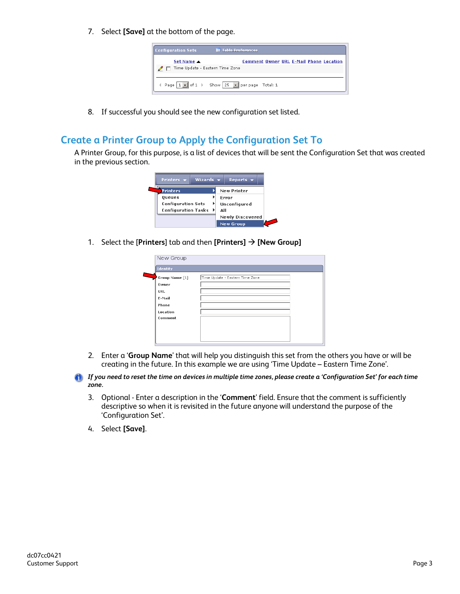7. Select **[Save]** at the bottom of the page.

| Set Name $\blacktriangle$<br>$\angle \Box$ Time Update - Eastern Time Zone | <b>Configuration Sets</b> | <b>III</b> Table Preferences                   |
|----------------------------------------------------------------------------|---------------------------|------------------------------------------------|
|                                                                            |                           | <b>Comment Owner URL E-Mail Phone Location</b> |
|                                                                            |                           |                                                |
|                                                                            |                           |                                                |
|                                                                            |                           |                                                |

8. If successful you should see the new configuration set listed.

### **Create a Printer Group to Apply the Configuration Set To**

A Printer Group, for this purpose, is a list of devices that will be sent the Configuration Set that was created in the previous section.



1. Select the [**Printers**] tab and then **[Printers] [New Group]**

| New Group      |                                 |  |
|----------------|---------------------------------|--|
| Identity       |                                 |  |
| Group Name [1] | Time Update - Eastern Time Zone |  |
| Owner          |                                 |  |
| <b>URL</b>     |                                 |  |
| E-Mail         |                                 |  |
| Phone          |                                 |  |
| Location       |                                 |  |
| Comment        |                                 |  |
|                |                                 |  |
|                |                                 |  |
|                |                                 |  |

- 2. Enter a '**Group Name**' that will help you distinguish this set from the others you have or will be creating in the future. In this example we are using 'Time Update – Eastern Time Zone'.
- *If you need to reset the time on devices in multiple time zones, please create a 'Configuration Set' for each time zone.*
	- 3. Optional Enter a description in the '**Comment**' field. Ensure that the comment is sufficiently descriptive so when it is revisited in the future anyone will understand the purpose of the 'Configuration Set'.
	- 4. Select **[Save]**.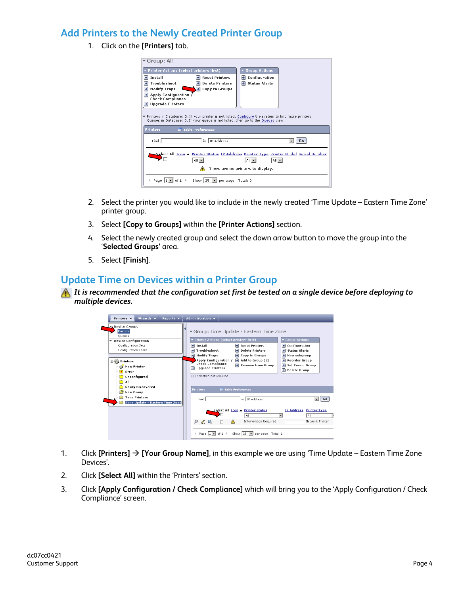### **Add Printers to the Newly Created Printer Group**

1. Click on the **[Printers]** tab.

| ▼ Group: All                                        |                                                                                                       |                                   |    |
|-----------------------------------------------------|-------------------------------------------------------------------------------------------------------|-----------------------------------|----|
| Printer Actions (select printers first)             |                                                                                                       | <b>Group Actions</b>              |    |
| $\rightarrow$ Install                               | <b>Reset Printers</b>                                                                                 | Configuration<br>Ð                |    |
| Troubleshoot                                        | <b>Delete Printers</b>                                                                                | Status Alerts                     |    |
| <b>Modify Traps</b><br>٠                            | $\rightarrow$ Copy to Groups                                                                          |                                   |    |
| Ð<br>Apply Configuration<br><b>Check Compliance</b> |                                                                                                       |                                   |    |
| <b>Upgrade Printers</b>                             |                                                                                                       |                                   |    |
|                                                     |                                                                                                       |                                   |    |
|                                                     | ▼ Printers in Database: 0. If your printer is not listed, Configure the system to find more printers. |                                   |    |
|                                                     | Queues in Database: 0. If your queue is not listed, then go to the Queues view.                       |                                   |    |
| <b>Printers</b>                                     | <b>III</b> Table Preferences                                                                          |                                   |    |
|                                                     |                                                                                                       |                                   |    |
| Find                                                | IP Address<br>in.                                                                                     |                                   | Go |
|                                                     |                                                                                                       |                                   |    |
|                                                     | Select All Icon ▲ Printer Status IP Address Printer Type Printer Model Serial Number                  |                                   |    |
|                                                     | All -                                                                                                 | $All -$<br>$All - 1$              |    |
|                                                     |                                                                                                       | There are no printers to display. |    |
| Page  1<br>nf 1                                     | Show 25<br>per page                                                                                   | Total: 0                          |    |

- 2. Select the printer you would like to include in the newly created 'Time Update Eastern Time Zone' printer group.
- 3. Select **[Copy to Groups]** within the **[Printer Actions]** section.
- 4. Select the newly created group and select the down arrow button to move the group into the '**Selected Groups'** area.
- 5. Select **[Finish]**.

#### **Update Time on Devices within a Printer Group**

*It is recommended that the configuration set first be tested on a single device before deploying to multiple devices.* 



- 1. Click **[Printers] [Your Group Name]**, in this example we are using 'Time Update Eastern Time Zone Devices'.
- 2. Click **[Select All]** within the 'Printers' section.
- 3. Click **[Apply Configuration / Check Compliance]** which will bring you to the 'Apply Configuration / Check Compliance' screen.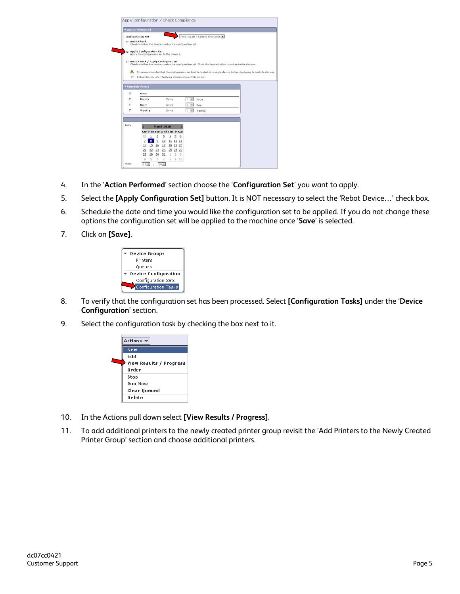|      | Action Performed                                                                                                                                  |                   |    |              |          |                                 |         |  |  |  |  |
|------|---------------------------------------------------------------------------------------------------------------------------------------------------|-------------------|----|--------------|----------|---------------------------------|---------|--|--|--|--|
|      | <b>Configuration Set</b>                                                                                                                          |                   |    |              |          | Time Update - Eastern Time Zone |         |  |  |  |  |
|      | C Audit Check<br>Check whether the devices match the configuration set.                                                                           |                   |    |              |          |                                 |         |  |  |  |  |
|      | C. Apply Configuration Set<br>Apply the configuration set to the devices.                                                                         |                   |    |              |          |                                 |         |  |  |  |  |
|      | C Audit Check / Apply Configuration<br>Check whether the devices match the configuration set. If not the desired value is written to the devices. |                   |    |              |          |                                 |         |  |  |  |  |
|      |                                                                                                                                                   |                   |    |              |          |                                 |         |  |  |  |  |
| Ж    | It is recommended that the configuration set first be tested on a single device before deploying to multiple devices.                             |                   |    |              |          |                                 |         |  |  |  |  |
| п    | Reboot Device after Applying Configuration, If Necessary                                                                                          |                   |    |              |          |                                 |         |  |  |  |  |
|      |                                                                                                                                                   |                   |    |              |          |                                 |         |  |  |  |  |
|      |                                                                                                                                                   |                   |    |              |          |                                 |         |  |  |  |  |
|      | <b>Schedule Period</b>                                                                                                                            |                   |    |              |          |                                 |         |  |  |  |  |
| õ.   | Once                                                                                                                                              |                   |    |              |          |                                 |         |  |  |  |  |
| c    | Hourly                                                                                                                                            |                   |    | Every        |          | $\overline{\phantom{a}}$<br>Ŀ.  | Moure   |  |  |  |  |
| с    | Daily                                                                                                                                             |                   |    | Every        |          | II.<br>$\overline{\phantom{a}}$ | Days    |  |  |  |  |
| c    | Weekly                                                                                                                                            |                   |    | <b>Every</b> |          | $2 - 30$                        | Week(s) |  |  |  |  |
|      |                                                                                                                                                   |                   |    |              |          |                                 |         |  |  |  |  |
| Date |                                                                                                                                                   | <b>March 2010</b> |    |              |          |                                 |         |  |  |  |  |
|      | Sun Mon Tue Wed Thu Fri Sat                                                                                                                       |                   |    |              |          |                                 |         |  |  |  |  |
|      | 28                                                                                                                                                | 2                 | з  | ÷            | s<br>6   |                                 |         |  |  |  |  |
|      | $\overline{z}$<br>8                                                                                                                               | $\overline{9}$    | 10 |              | 11 12 13 |                                 |         |  |  |  |  |
|      | 15<br>14                                                                                                                                          | 16                | 17 |              | 18 19 20 |                                 |         |  |  |  |  |
|      | 21<br>22                                                                                                                                          | 23                | 24 |              | 25 26 27 |                                 |         |  |  |  |  |

- 4. In the '**Action Performed**' section choose the '**Configuration Set**' you want to apply.
- 5. Select the **[Apply Configuration Set]** button. It is NOT necessary to select the 'Rebot Device…' check box.
- 6. Schedule the date and time you would like the configuration set to be applied. If you do not change these options the configuration set will be applied to the machine once '**Save**' is selected.
- 7. Click on **[Save]**.



- 8. To verify that the configuration set has been processed. Select **[Configuration Tasks]** under the '**Device Configuration**' section.
- 9. Select the configuration task by checking the box next to it.



- 10. In the Actions pull down select **[View Results / Progress]**.
- 11. To add additional printers to the newly created printer group revisit the 'Add Printers to the Newly Created Printer Group' section and choose additional printers.